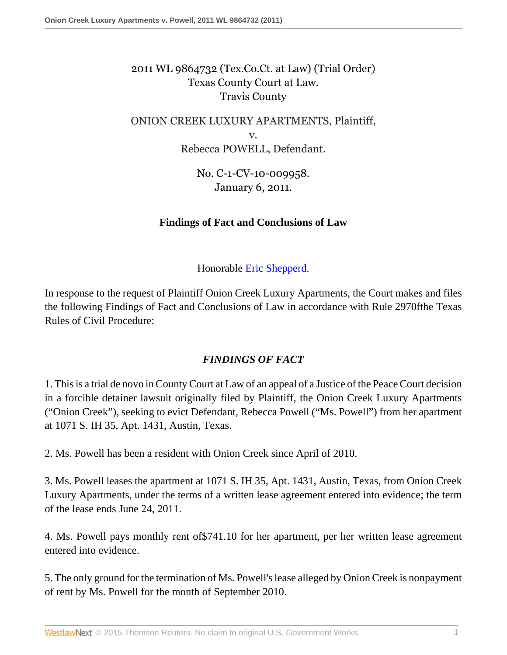# 2011 WL 9864732 (Tex.Co.Ct. at Law) (Trial Order) Texas County Court at Law. Travis County

# ONION CREEK LUXURY APARTMENTS, Plaintiff, v. Rebecca POWELL, Defendant.

No. C-1-CV-10-009958. January 6, 2011.

### **Findings of Fact and Conclusions of Law**

Honorable [Eric Shepperd](http://www.westlaw.com/Link/Document/FullText?findType=h&pubNum=176284&cite=0294420201&originatingDoc=I47824db85ffe11e280719c3f0e80bdd0&refType=RQ&originationContext=document&vr=3.0&rs=cblt1.0&transitionType=DocumentItem&contextData=(sc.Search)).

In response to the request of Plaintiff Onion Creek Luxury Apartments, the Court makes and files the following Findings of Fact and Conclusions of Law in accordance with Rule 2970fthe Texas Rules of Civil Procedure:

### *FINDINGS OF FACT*

1. This is a trial de novo in County Court at Law of an appeal of a Justice of the Peace Court decision in a forcible detainer lawsuit originally filed by Plaintiff, the Onion Creek Luxury Apartments ("Onion Creek"), seeking to evict Defendant, Rebecca Powell ("Ms. Powell") from her apartment at 1071 S. IH 35, Apt. 1431, Austin, Texas.

2. Ms. Powell has been a resident with Onion Creek since April of 2010.

3. Ms. Powell leases the apartment at 1071 S. IH 35, Apt. 1431, Austin, Texas, from Onion Creek Luxury Apartments, under the terms of a written lease agreement entered into evidence; the term of the lease ends June 24, 2011.

4. Ms. Powell pays monthly rent of\$741.10 for her apartment, per her written lease agreement entered into evidence.

5. The only ground for the termination of Ms. Powell's lease alleged by Onion Creek is nonpayment of rent by Ms. Powell for the month of September 2010.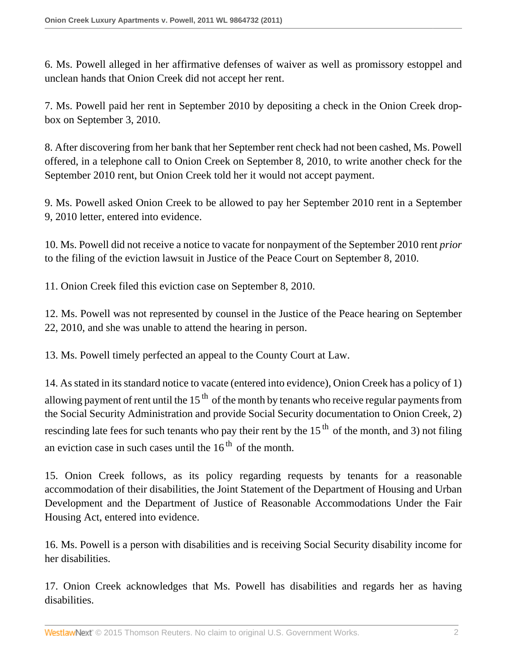6. Ms. Powell alleged in her affirmative defenses of waiver as well as promissory estoppel and unclean hands that Onion Creek did not accept her rent.

7. Ms. Powell paid her rent in September 2010 by depositing a check in the Onion Creek dropbox on September 3, 2010.

8. After discovering from her bank that her September rent check had not been cashed, Ms. Powell offered, in a telephone call to Onion Creek on September 8, 2010, to write another check for the September 2010 rent, but Onion Creek told her it would not accept payment.

9. Ms. Powell asked Onion Creek to be allowed to pay her September 2010 rent in a September 9, 2010 letter, entered into evidence.

10. Ms. Powell did not receive a notice to vacate for nonpayment of the September 2010 rent *prior* to the filing of the eviction lawsuit in Justice of the Peace Court on September 8, 2010.

11. Onion Creek filed this eviction case on September 8, 2010.

12. Ms. Powell was not represented by counsel in the Justice of the Peace hearing on September 22, 2010, and she was unable to attend the hearing in person.

13. Ms. Powell timely perfected an appeal to the County Court at Law.

14. As stated in its standard notice to vacate (entered into evidence), Onion Creek has a policy of 1) allowing payment of rent until the  $15<sup>th</sup>$  of the month by tenants who receive regular payments from the Social Security Administration and provide Social Security documentation to Onion Creek, 2) rescinding late fees for such tenants who pay their rent by the  $15<sup>th</sup>$  of the month, and 3) not filing an eviction case in such cases until the  $16<sup>th</sup>$  of the month.

15. Onion Creek follows, as its policy regarding requests by tenants for a reasonable accommodation of their disabilities, the Joint Statement of the Department of Housing and Urban Development and the Department of Justice of Reasonable Accommodations Under the Fair Housing Act, entered into evidence.

16. Ms. Powell is a person with disabilities and is receiving Social Security disability income for her disabilities.

17. Onion Creek acknowledges that Ms. Powell has disabilities and regards her as having disabilities.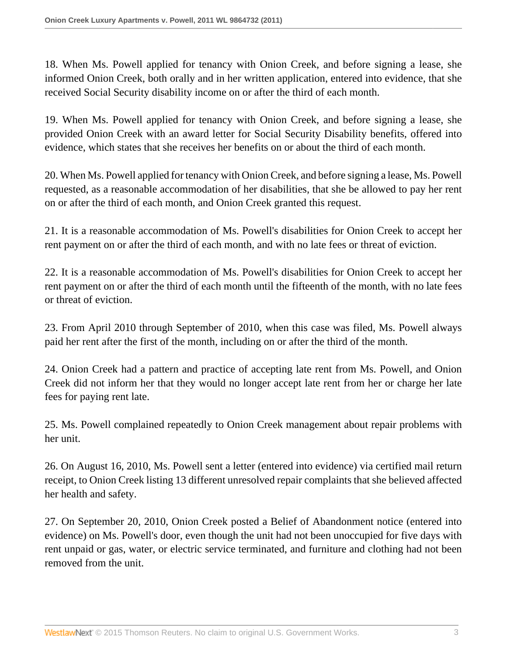18. When Ms. Powell applied for tenancy with Onion Creek, and before signing a lease, she informed Onion Creek, both orally and in her written application, entered into evidence, that she received Social Security disability income on or after the third of each month.

19. When Ms. Powell applied for tenancy with Onion Creek, and before signing a lease, she provided Onion Creek with an award letter for Social Security Disability benefits, offered into evidence, which states that she receives her benefits on or about the third of each month.

20. When Ms. Powell applied for tenancy with Onion Creek, and before signing a lease, Ms. Powell requested, as a reasonable accommodation of her disabilities, that she be allowed to pay her rent on or after the third of each month, and Onion Creek granted this request.

21. It is a reasonable accommodation of Ms. Powell's disabilities for Onion Creek to accept her rent payment on or after the third of each month, and with no late fees or threat of eviction.

22. It is a reasonable accommodation of Ms. Powell's disabilities for Onion Creek to accept her rent payment on or after the third of each month until the fifteenth of the month, with no late fees or threat of eviction.

23. From April 2010 through September of 2010, when this case was filed, Ms. Powell always paid her rent after the first of the month, including on or after the third of the month.

24. Onion Creek had a pattern and practice of accepting late rent from Ms. Powell, and Onion Creek did not inform her that they would no longer accept late rent from her or charge her late fees for paying rent late.

25. Ms. Powell complained repeatedly to Onion Creek management about repair problems with her unit.

26. On August 16, 2010, Ms. Powell sent a letter (entered into evidence) via certified mail return receipt, to Onion Creek listing 13 different unresolved repair complaints that she believed affected her health and safety.

27. On September 20, 2010, Onion Creek posted a Belief of Abandonment notice (entered into evidence) on Ms. Powell's door, even though the unit had not been unoccupied for five days with rent unpaid or gas, water, or electric service terminated, and furniture and clothing had not been removed from the unit.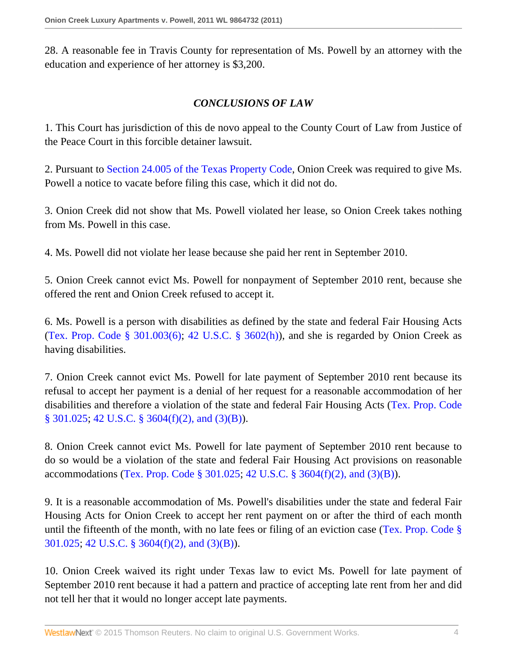28. A reasonable fee in Travis County for representation of Ms. Powell by an attorney with the education and experience of her attorney is \$3,200.

#### *CONCLUSIONS OF LAW*

1. This Court has jurisdiction of this de novo appeal to the County Court of Law from Justice of the Peace Court in this forcible detainer lawsuit.

2. Pursuant to [Section 24.005 of the Texas Property Code,](http://www.westlaw.com/Link/Document/FullText?findType=L&pubNum=1000184&cite=TXPOS24.005&originatingDoc=I47824db85ffe11e280719c3f0e80bdd0&refType=LQ&originationContext=document&vr=3.0&rs=cblt1.0&transitionType=DocumentItem&contextData=(sc.Search)) Onion Creek was required to give Ms. Powell a notice to vacate before filing this case, which it did not do.

3. Onion Creek did not show that Ms. Powell violated her lease, so Onion Creek takes nothing from Ms. Powell in this case.

4. Ms. Powell did not violate her lease because she paid her rent in September 2010.

5. Onion Creek cannot evict Ms. Powell for nonpayment of September 2010 rent, because she offered the rent and Onion Creek refused to accept it.

6. Ms. Powell is a person with disabilities as defined by the state and federal Fair Housing Acts (Tex. Prop. Code  $\S 301.003(6)$ ; 42 U.S.C.  $\S 3602(h)$ ), and she is regarded by Onion Creek as having disabilities.

7. Onion Creek cannot evict Ms. Powell for late payment of September 2010 rent because its refusal to accept her payment is a denial of her request for a reasonable accommodation of her disabilities and therefore a violation of the state and federal Fair Housing Acts [\(Tex. Prop. Code](http://www.westlaw.com/Link/Document/FullText?findType=L&pubNum=1000184&cite=TXPOS301.025&originatingDoc=I47824db85ffe11e280719c3f0e80bdd0&refType=LQ&originationContext=document&vr=3.0&rs=cblt1.0&transitionType=DocumentItem&contextData=(sc.Search)) [§ 301.025](http://www.westlaw.com/Link/Document/FullText?findType=L&pubNum=1000184&cite=TXPOS301.025&originatingDoc=I47824db85ffe11e280719c3f0e80bdd0&refType=LQ&originationContext=document&vr=3.0&rs=cblt1.0&transitionType=DocumentItem&contextData=(sc.Search)); [42 U.S.C. § 3604\(f\)\(2\), and \(3\)\(B\)](http://www.westlaw.com/Link/Document/FullText?findType=L&pubNum=1000546&cite=42USCAS3604&originatingDoc=I47824db85ffe11e280719c3f0e80bdd0&refType=RB&originationContext=document&vr=3.0&rs=cblt1.0&transitionType=DocumentItem&contextData=(sc.Search)#co_pp_ac4e0000281c0)).

8. Onion Creek cannot evict Ms. Powell for late payment of September 2010 rent because to do so would be a violation of the state and federal Fair Housing Act provisions on reasonable accommodations ([Tex. Prop. Code § 301.025](http://www.westlaw.com/Link/Document/FullText?findType=L&pubNum=1000184&cite=TXPOS301.025&originatingDoc=I47824db85ffe11e280719c3f0e80bdd0&refType=LQ&originationContext=document&vr=3.0&rs=cblt1.0&transitionType=DocumentItem&contextData=(sc.Search)); [42 U.S.C. § 3604\(f\)\(2\), and \(3\)\(B\)](http://www.westlaw.com/Link/Document/FullText?findType=L&pubNum=1000546&cite=42USCAS3604&originatingDoc=I47824db85ffe11e280719c3f0e80bdd0&refType=RB&originationContext=document&vr=3.0&rs=cblt1.0&transitionType=DocumentItem&contextData=(sc.Search)#co_pp_ac4e0000281c0)).

9. It is a reasonable accommodation of Ms. Powell's disabilities under the state and federal Fair Housing Acts for Onion Creek to accept her rent payment on or after the third of each month until the fifteenth of the month, with no late fees or filing of an eviction case [\(Tex. Prop. Code §](http://www.westlaw.com/Link/Document/FullText?findType=L&pubNum=1000184&cite=TXPOS301.025&originatingDoc=I47824db85ffe11e280719c3f0e80bdd0&refType=LQ&originationContext=document&vr=3.0&rs=cblt1.0&transitionType=DocumentItem&contextData=(sc.Search)) [301.025](http://www.westlaw.com/Link/Document/FullText?findType=L&pubNum=1000184&cite=TXPOS301.025&originatingDoc=I47824db85ffe11e280719c3f0e80bdd0&refType=LQ&originationContext=document&vr=3.0&rs=cblt1.0&transitionType=DocumentItem&contextData=(sc.Search)); [42 U.S.C. § 3604\(f\)\(2\), and \(3\)\(B\)\)](http://www.westlaw.com/Link/Document/FullText?findType=L&pubNum=1000546&cite=42USCAS3604&originatingDoc=I47824db85ffe11e280719c3f0e80bdd0&refType=RB&originationContext=document&vr=3.0&rs=cblt1.0&transitionType=DocumentItem&contextData=(sc.Search)#co_pp_ac4e0000281c0).

10. Onion Creek waived its right under Texas law to evict Ms. Powell for late payment of September 2010 rent because it had a pattern and practice of accepting late rent from her and did not tell her that it would no longer accept late payments.